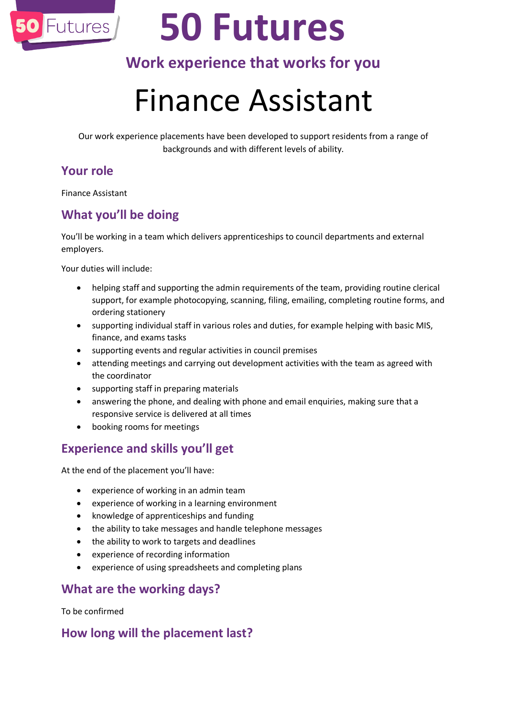

# **50 Futures**

### **Work experience that works for you**

## Finance Assistant

Our work experience placements have been developed to support residents from a range of backgrounds and with different levels of ability.

#### **Your role**

Finance Assistant

#### **What you'll be doing**

You'll be working in a team which delivers apprenticeships to council departments and external employers.

Your duties will include:

- helping staff and supporting the admin requirements of the team, providing routine clerical support, for example photocopying, scanning, filing, emailing, completing routine forms, and ordering stationery
- supporting individual staff in various roles and duties, for example helping with basic MIS, finance, and exams tasks
- supporting events and regular activities in council premises
- attending meetings and carrying out development activities with the team as agreed with the coordinator
- supporting staff in preparing materials
- answering the phone, and dealing with phone and email enquiries, making sure that a responsive service is delivered at all times
- booking rooms for meetings

#### **Experience and skills you'll get**

At the end of the placement you'll have:

- experience of working in an admin team
- experience of working in a learning environment
- knowledge of apprenticeships and funding
- the ability to take messages and handle telephone messages
- the ability to work to targets and deadlines
- experience of recording information
- experience of using spreadsheets and completing plans

#### **What are the working days?**

To be confirmed

#### **How long will the placement last?**